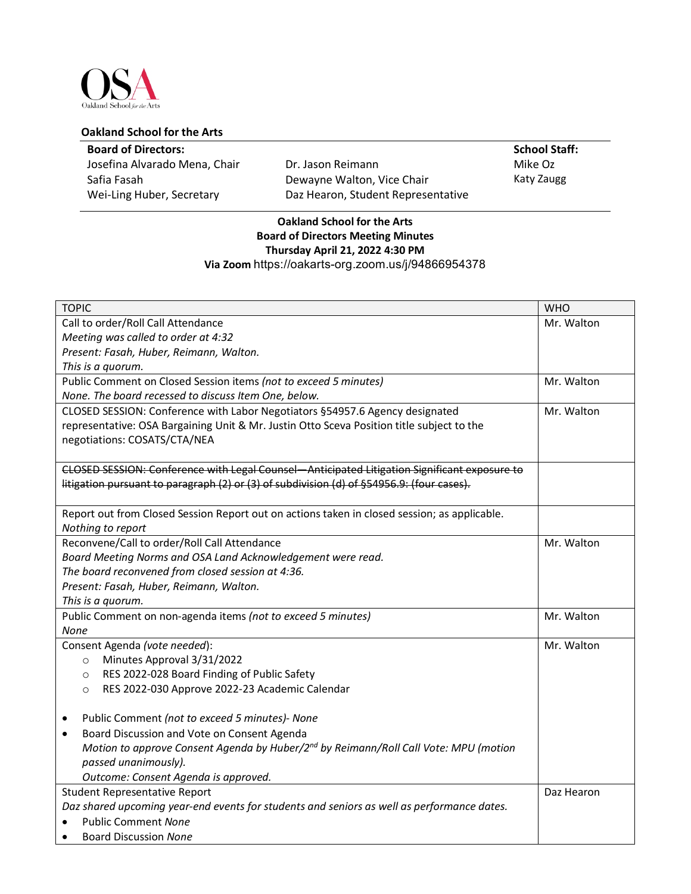

## **Oakland School for the Arts**

## **Board of Directors:**

Josefina Alvarado Mena, Chair Safia Fasah Wei-Ling Huber, Secretary

Dr. Jason Reimann Dewayne Walton, Vice Chair Daz Hearon, Student Representative

## **School Staff:** Mike Oz

Katy Zaugg

## **Oakland School for the Arts Board of Directors Meeting Minutes Thursday April 21, 2022 4:30 PM Via Zoom** https://oakarts-org.zoom.us/j/94866954378

| <b>TOPIC</b>                                                                                     | <b>WHO</b> |
|--------------------------------------------------------------------------------------------------|------------|
| Call to order/Roll Call Attendance                                                               | Mr. Walton |
| Meeting was called to order at 4:32                                                              |            |
| Present: Fasah, Huber, Reimann, Walton.                                                          |            |
| This is a quorum.                                                                                |            |
| Public Comment on Closed Session items (not to exceed 5 minutes)                                 | Mr. Walton |
| None. The board recessed to discuss Item One, below.                                             |            |
| CLOSED SESSION: Conference with Labor Negotiators §54957.6 Agency designated                     | Mr. Walton |
| representative: OSA Bargaining Unit & Mr. Justin Otto Sceva Position title subject to the        |            |
| negotiations: COSATS/CTA/NEA                                                                     |            |
|                                                                                                  |            |
| CLOSED SESSION: Conference with Legal Counsel-Anticipated Litigation Significant exposure to     |            |
| litigation pursuant to paragraph (2) or (3) of subdivision (d) of §54956.9: (four cases).        |            |
|                                                                                                  |            |
| Report out from Closed Session Report out on actions taken in closed session; as applicable.     |            |
| Nothing to report                                                                                |            |
| Reconvene/Call to order/Roll Call Attendance                                                     | Mr. Walton |
| Board Meeting Norms and OSA Land Acknowledgement were read.                                      |            |
| The board reconvened from closed session at 4:36.                                                |            |
| Present: Fasah, Huber, Reimann, Walton.                                                          |            |
| This is a quorum.                                                                                |            |
| Public Comment on non-agenda items (not to exceed 5 minutes)                                     | Mr. Walton |
| None                                                                                             |            |
| Consent Agenda (vote needed):                                                                    | Mr. Walton |
| Minutes Approval 3/31/2022<br>$\circ$                                                            |            |
| RES 2022-028 Board Finding of Public Safety<br>$\circ$                                           |            |
| RES 2022-030 Approve 2022-23 Academic Calendar<br>$\circ$                                        |            |
|                                                                                                  |            |
| Public Comment (not to exceed 5 minutes)- None<br>٠                                              |            |
| Board Discussion and Vote on Consent Agenda<br>$\bullet$                                         |            |
| Motion to approve Consent Agenda by Huber/2 <sup>nd</sup> by Reimann/Roll Call Vote: MPU (motion |            |
| passed unanimously).                                                                             |            |
| Outcome: Consent Agenda is approved.                                                             |            |
| <b>Student Representative Report</b>                                                             | Daz Hearon |
| Daz shared upcoming year-end events for students and seniors as well as performance dates.       |            |
| <b>Public Comment None</b>                                                                       |            |
| <b>Board Discussion None</b>                                                                     |            |